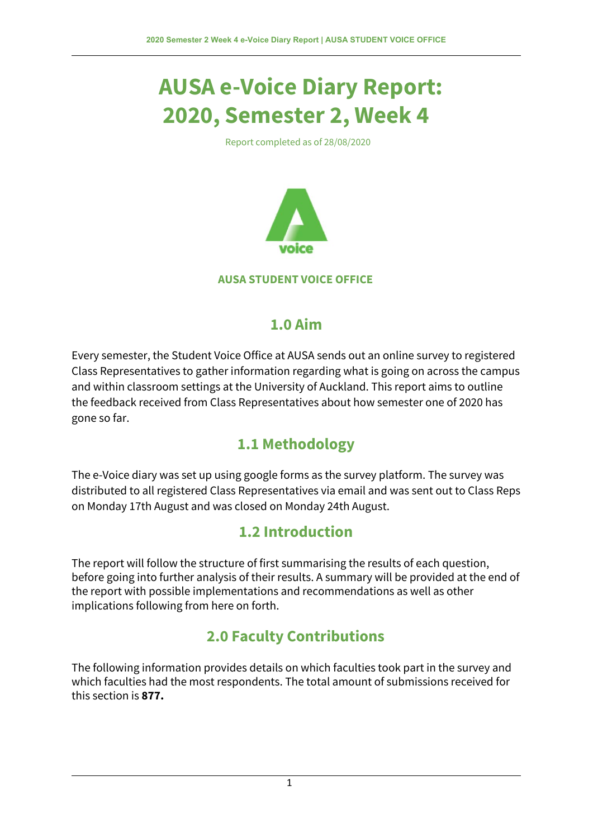# **AUSA e-Voice Diary Report: 2020, Semester 2, Week 4**

Report completed as of 28/08/2020



#### **AUSA STUDENT VOICE OFFICE**

#### **1.0 Aim**

Every semester, the Student Voice Office at AUSA sends out an online survey to registered Class Representatives to gather information regarding what is going on across the campus and within classroom settings at the University of Auckland. This report aims to outline the feedback received from Class Representatives about how semester one of 2020 has gone so far.

### **1.1 Methodology**

The e-Voice diary was set up using google forms as the survey platform. The survey was distributed to all registered Class Representatives via email and was sent out to Class Reps on Monday 17th August and was closed on Monday 24th August.

### **1.2 Introduction**

The report will follow the structure of first summarising the results of each question, before going into further analysis of their results. A summary will be provided at the end of the report with possible implementations and recommendations as well as other implications following from here on forth.

### **2.0 Faculty Contributions**

The following information provides details on which faculties took part in the survey and which faculties had the most respondents. The total amount of submissions received for this section is **877.**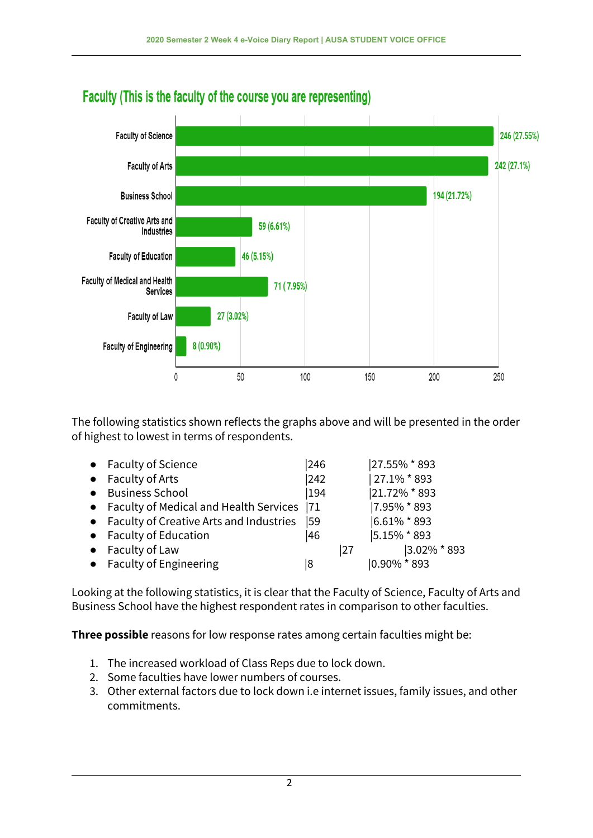

# Faculty (This is the faculty of the course you are representing)

The following statistics shown reflects the graphs above and will be presented in the order of highest to lowest in terms of respondents.

|           | • Faculty of Science                         | 246 |    | 27.55% * 893     |
|-----------|----------------------------------------------|-----|----|------------------|
|           | $\bullet$ Faculty of Arts                    | 242 |    | $ 27.1\% * 893$  |
| $\bullet$ | <b>Business School</b>                       | 194 |    | 21.72% * 893     |
|           | • Faculty of Medical and Health Services  71 |     |    | 17.95% * 893     |
|           | • Faculty of Creative Arts and Industries    | 59  |    | $ 6.61\% * 893$  |
|           | • Faculty of Education                       | 46  |    | 5.15% * 893      |
| $\bullet$ | Faculty of Law                               |     | 27 | $ 3.02\% * 893 $ |
|           | • Faculty of Engineering                     | 18  |    | $ 0.90\% * 893 $ |

Looking at the following statistics, it is clear that the Faculty of Science, Faculty of Arts and Business School have the highest respondent rates in comparison to other faculties.

**Three possible** reasons for low response rates among certain faculties might be:

- 1. The increased workload of Class Reps due to lock down.
- 2. Some faculties have lower numbers of courses.
- 3. Other external factors due to lock down i.e internet issues, family issues, and other commitments.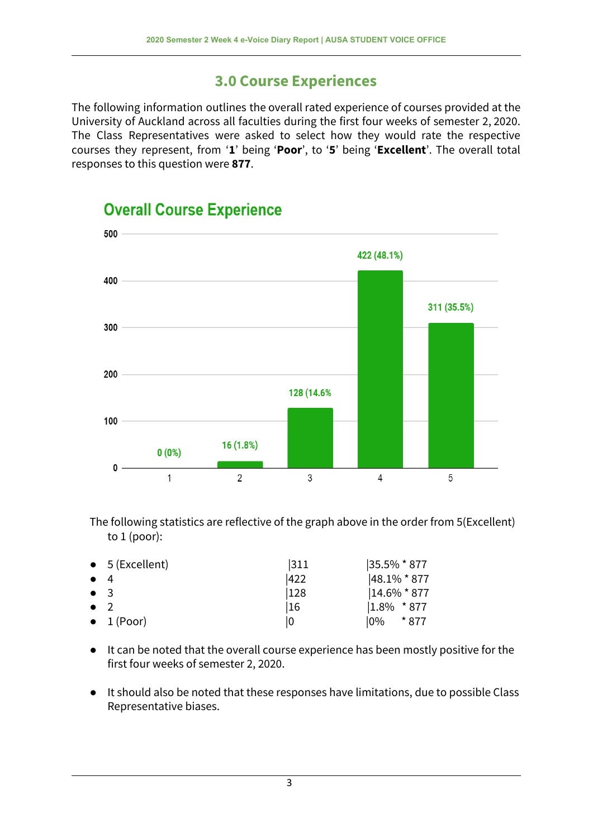#### **3.0 Course Experiences**

The following information outlines the overall rated experience of courses provided at the University of Auckland across all faculties during the first four weeks of semester 2, 2020. The Class Representatives were asked to select how they would rate the respective courses they represent, from '**1**' being '**Poor**', to '**5**' being '**Excellent**'. The overall total responses to this question were **877**.



### **Overall Course Experience**

The following statistics are reflective of the graph above in the order from 5(Excellent) to 1 (poor):

|             | $\bullet$ 5 (Excellent) | 311 | 35.5% * 877     |
|-------------|-------------------------|-----|-----------------|
| $\bullet$ 4 |                         | 422 | $ 48.1\% * 877$ |
| $\bullet$ 3 |                         | 128 | $ 14.6\% * 877$ |
| $\bullet$ 2 |                         | 16  | $1.8\%$ * 877   |
|             | $\bullet$ 1 (Poor)      | 10  | * 877<br>10%    |

- It can be noted that the overall course experience has been mostly positive for the first four weeks of semester 2, 2020.
- It should also be noted that these responses have limitations, due to possible Class Representative biases.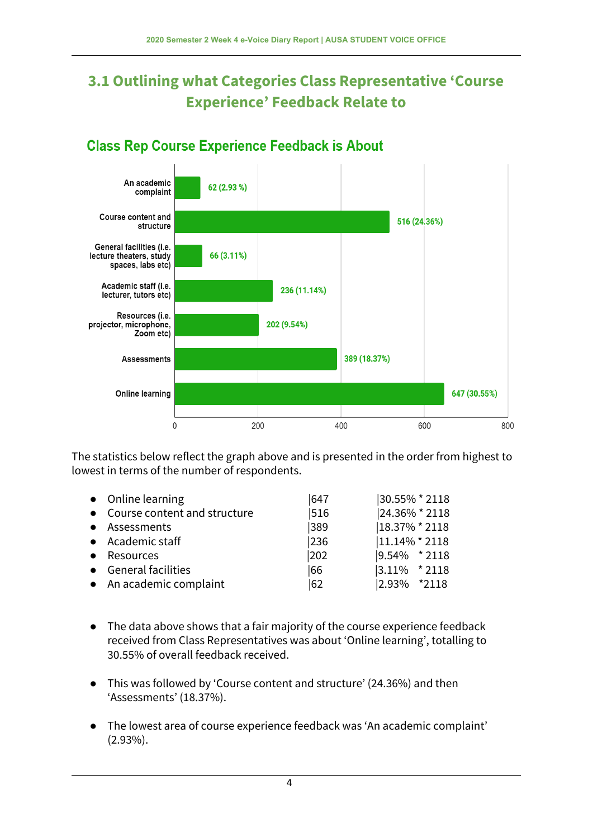# **3.1 Outlining what Categories Class Representative 'Course Experience' Feedback Relate to**



#### **Class Rep Course Experience Feedback is About**

The statistics below reflect the graph above and is presented in the order from highest to lowest in terms of the number of respondents.

|           | • Online learning              | 647 | 30.55% * 2118         |
|-----------|--------------------------------|-----|-----------------------|
|           | • Course content and structure | 516 | 24.36% * 2118         |
|           | • Assessments                  | 389 | 18.37% * 2118         |
|           | • Academic staff               | 236 | $ 11.14\% * 2118$     |
| $\bullet$ | Resources                      | 202 | $ 9.54\% \times 2118$ |
|           | • General facilities           | 66  | $ 3.11\%$ * 2118      |
|           | • An academic complaint        | 62  | 2.93% *2118           |

- The data above shows that a fair majority of the course experience feedback received from Class Representatives was about 'Online learning', totalling to 30.55% of overall feedback received.
- This was followed by 'Course content and structure' (24.36%) and then 'Assessments' (18.37%).
- The lowest area of course experience feedback was 'An academic complaint' (2.93%).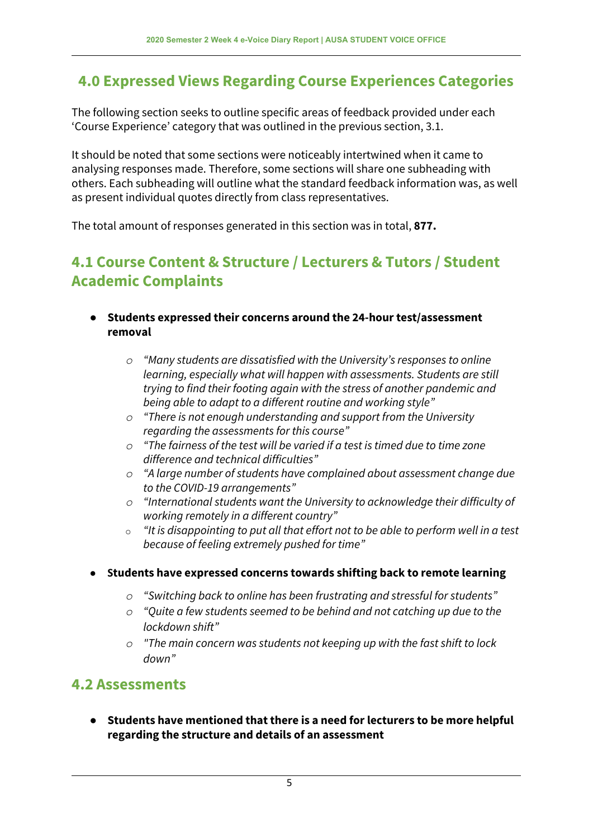### **4.0 Expressed Views Regarding Course Experiences Categories**

The following section seeks to outline specific areas of feedback provided under each 'Course Experience' category that was outlined in the previous section, 3.1.

It should be noted that some sections were noticeably intertwined when it came to analysing responses made. Therefore, some sections will share one subheading with others. Each subheading will outline what the standard feedback information was, as well as present individual quotes directly from class representatives.

The total amount of responses generated in this section was in total, **877.**

### **4.1 Course Content & Structure / Lecturers & Tutors / Student Academic Complaints**

- **● Students expressed their concerns around the 24-hour test/assessment removal**
	- *o "Many students are dissatisfied with the University's responses to online learning, especially what will happen with assessments. Students are still trying to find their footing again with the stress of another pandemic and being able to adapt to a different routine and working style"*
	- *o "There is not enough understanding and support from the University regarding the assessments for this course"*
	- *o "The fairness of the test will be varied if a test is timed due to time zone difference and technical difficulties"*
	- *o "A large number of students have complained about assessment change due to the COVID-19 arrangements"*
	- *o "International students want the University to acknowledge their difficulty of working remotely in a different country"*
	- o *"It is disappointing to put all that effort not to be able to perform well in a test because of feeling extremely pushed for time"*
- **● Students have expressed concerns towards shifting back to remote learning**
	- *o "Switching back to online has been frustrating and stressful for students"*
	- *o "Quite a few students seemed to be behind and not catching up due to the lockdown shift"*
	- *o "The main concern was students not keeping up with the fast shift to lock down"*

### **4.2 Assessments**

**● Students have mentioned that there is a need for lecturers to be more helpful regarding the structure and details of an assessment**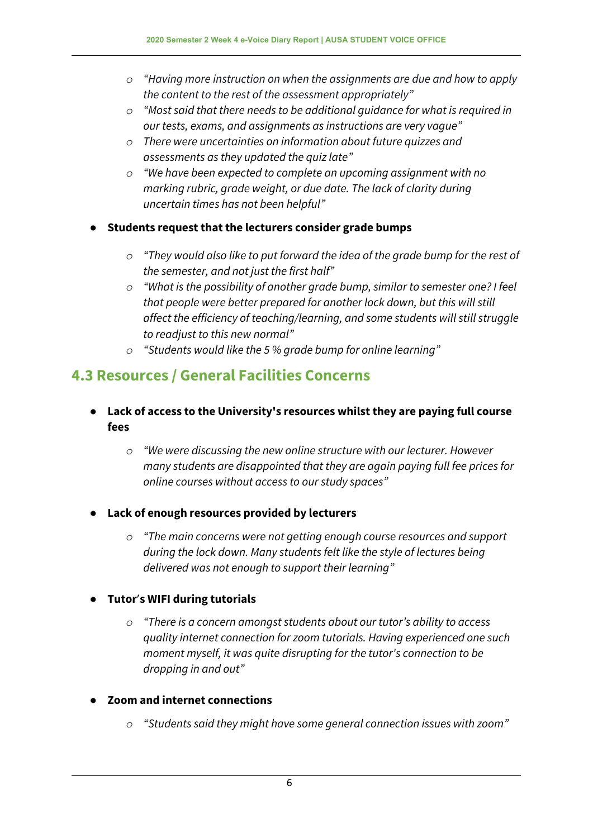- *o "Having more instruction on when the assignments are due and how to apply the content to the rest of the assessment appropriately"*
- *o "Most said that there needs to be additional guidance for what is required in our tests, exams, and assignments as instructions are very vague"*
- *o There were uncertainties on information about future quizzes and assessments as they updated the quiz late"*
- *o "We have been expected to complete an upcoming assignment with no marking rubric, grade weight, or due date. The lack of clarity during uncertain times has not been helpful"*
- **● Students request that the lecturers consider grade bumps**
	- *o "They would also like to put forward the idea of the grade bump for the rest of the semester, and not just the first half"*
	- *o "What is the possibility of another grade bump, similar to semester one? I feel that people were better prepared for another lock down, but this will still affect the efficiency of teaching/learning, and some students will still struggle to readjust to this new normal"*
	- *o "Students would like the 5 % grade bump for online learning"*

### **4.3 Resources / General Facilities Concerns**

- **● Lack of access to the University's resources whilst they are paying full course fees**
	- *o "We were discussing the new online structure with our lecturer. However many students are disappointed that they are again paying full fee prices for online courses without access to our study spaces"*
- **● Lack of enough resources provided by lecturers**
	- *o "The main concerns were not getting enough course resources and support during the lock down. Many students felt like the style of lectures being delivered was not enough to support their learning"*

#### ● **Tutor**'**s WIFI during tutorials**

*o "There is a concern amongst students about our tutor's ability to access quality internet connection for zoom tutorials. Having experienced one such moment myself, it was quite disrupting for the tutor's connection to be dropping in and out"*

#### **● Zoom and internet connections**

*o "Students said they might have some general connection issues with zoom"*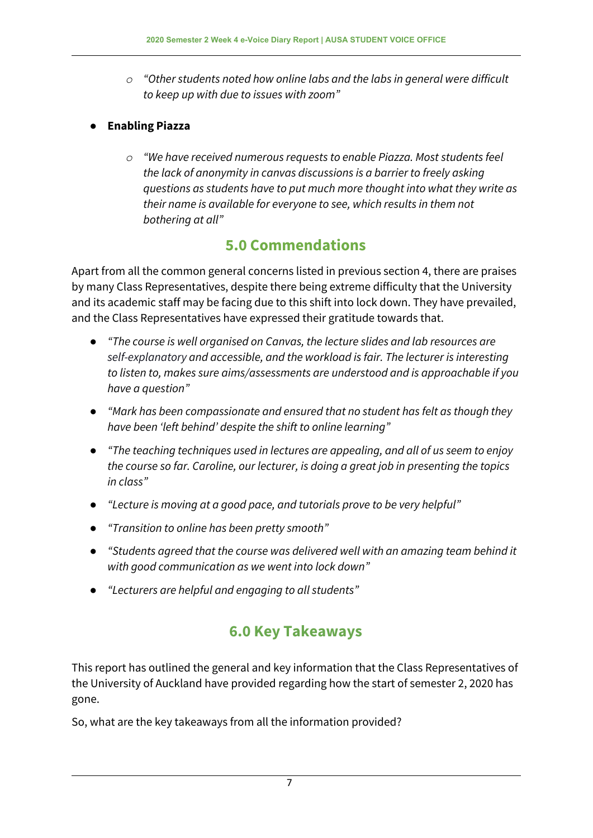- *o "Other students noted how online labs and the labs in general were difficult to keep up with due to issues with zoom"*
- *●* **Enabling Piazza**
	- *o "We have received numerous requests to enable Piazza. Most students feel the lack of anonymity in canvas discussions is a barrier to freely asking questions as students have to put much more thought into what they write as their name is available for everyone to see, which results in them not bothering at all"*

### **5.0 Commendations**

Apart from all the common general concerns listed in previous section 4, there are praises by many Class Representatives, despite there being extreme difficulty that the University and its academic staff may be facing due to this shift into lock down. They have prevailed, and the Class Representatives have expressed their gratitude towards that.

- *● "The course is well organised on Canvas, the lecture slides and lab resources are self-explanatory and accessible, and the workload is fair. The lecturer is interesting to listen to, makes sure aims/assessments are understood and is approachable if you have a question"*
- *● "Mark has been compassionate and ensured that no student has felt as though they have been 'left behind' despite the shift to online learning"*
- *● "The teaching techniques used in lectures are appealing, and all of us seem to enjoy the course so far. Caroline, our lecturer, is doing a great job in presenting the topics in class"*
- *● "Lecture is moving at a good pace, and tutorials prove to be very helpful"*
- *● "Transition to online has been pretty smooth"*
- *● "Students agreed that the course was delivered well with an amazing team behind it with good communication as we went into lock down"*
- *● "Lecturers are helpful and engaging to all students"*

## **6.0 Key Takeaways**

This report has outlined the general and key information that the Class Representatives of the University of Auckland have provided regarding how the start of semester 2, 2020 has gone.

So, what are the key takeaways from all the information provided?